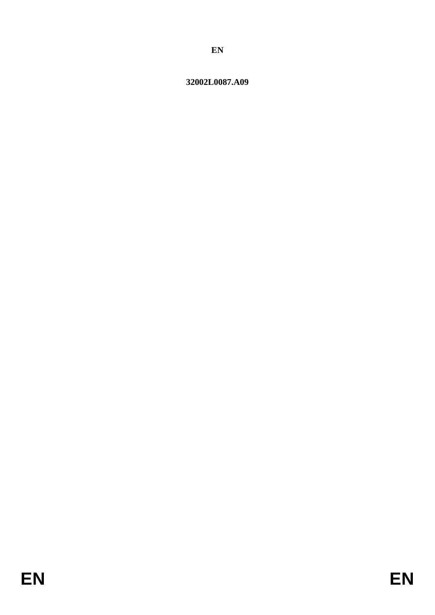# 32002L0087.A09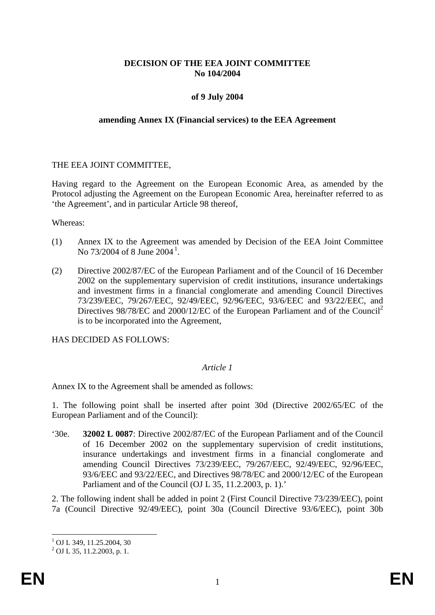### **DECISION OF THE EEA JOINT COMMITTEE No 104/2004**

## **of 9 July 2004**

#### **amending Annex IX (Financial services) to the EEA Agreement**

### THE EEA JOINT COMMITTEE,

Having regard to the Agreement on the European Economic Area, as amended by the Protocol adjusting the Agreement on the European Economic Area, hereinafter referred to as 'the Agreement', and in particular Article 98 thereof,

Whereas:

- (1) Annex IX to the Agreement was amended by Decision of the EEA Joint Committee No 73/2004 of 8 June 2004<sup>[1](#page-1-0)</sup>.
- (2) Directive 2002/87/EC of the European Parliament and of the Council of 16 December 2002 on the supplementary supervision of credit institutions, insurance undertakings and investment firms in a financial conglomerate and amending Council Directives 73/239/EEC, 79/267/EEC, 92/49/EEC, 92/96/EEC, 93/6/EEC and 93/22/EEC, and Directives 98/78/EC and 2000/12/EC of the European Parliament and of the Council<sup>2</sup> is to be incorporated into the Agreement,

HAS DECIDED AS FOLLOWS:

### *Article 1*

Annex IX to the Agreement shall be amended as follows:

1. The following point shall be inserted after point 30d (Directive 2002/65/EC of the European Parliament and of the Council):

'30e. **32002 L 0087**: Directive 2002/87/EC of the European Parliament and of the Council of 16 December 2002 on the supplementary supervision of credit institutions, insurance undertakings and investment firms in a financial conglomerate and amending Council Directives 73/239/EEC, 79/267/EEC, 92/49/EEC, 92/96/EEC, 93/6/EEC and 93/22/EEC, and Directives 98/78/EC and 2000/12/EC of the European Parliament and of the Council (OJ L 35, 11.2.2003, p. 1).'

2. The following indent shall be added in point 2 (First Council Directive 73/239/EEC), point 7a (Council Directive 92/49/EEC), point 30a (Council Directive 93/6/EEC), point 30b

 $\frac{1}{2}$  OJ L 349, 11.25.2004, 30<br> $\frac{2}{2}$  OJ L 35, 11.2.2003, p. 1.

<span id="page-1-0"></span>